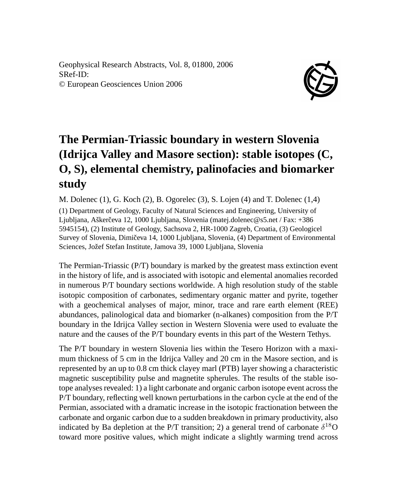Geophysical Research Abstracts, Vol. 8, 01800, 2006 SRef-ID: © European Geosciences Union 2006



## **The Permian-Triassic boundary in western Slovenia (Idrijca Valley and Masore section): stable isotopes (C, O, S), elemental chemistry, palinofacies and biomarker study**

M. Dolenec (1), G. Koch (2), B. Ogorelec (3), S. Lojen (4) and T. Dolenec (1,4) (1) Department of Geology, Faculty of Natural Sciences and Engineering, University of Ljubljana, Aškerčeva 12, 1000 Ljubljana, Slovenia (matej.dolenec@s5.net / Fax: +386 5945154), (2) Institute of Geology, Sachsova 2, HR-1000 Zagreb, Croatia, (3) Geologicel Survey of Slovenia, Dimičeva 14, 1000 Ljubljana, Slovenia, (4) Department of Environmental Sciences, Jožef Stefan Institute, Jamova 39, 1000 Ljubljana, Slovenia

The Permian-Triassic (P/T) boundary is marked by the greatest mass extinction event in the history of life, and is associated with isotopic and elemental anomalies recorded in numerous P/T boundary sections worldwide. A high resolution study of the stable isotopic composition of carbonates, sedimentary organic matter and pyrite, together with a geochemical analyses of major, minor, trace and rare earth element (REE) abundances, palinological data and biomarker (n-alkanes) composition from the P/T boundary in the Idrijca Valley section in Western Slovenia were used to evaluate the nature and the causes of the P/T boundary events in this part of the Western Tethys.

The P/T boundary in western Slovenia lies within the Tesero Horizon with a maximum thickness of 5 cm in the Idrijca Valley and 20 cm in the Masore section, and is represented by an up to 0.8 cm thick clayey marl (PTB) layer showing a characteristic magnetic susceptibility pulse and magnetite spherules. The results of the stable isotope analyses revealed: 1) a light carbonate and organic carbon isotope event across the P/T boundary, reflecting well known perturbations in the carbon cycle at the end of the Permian, associated with a dramatic increase in the isotopic fractionation between the carbonate and organic carbon due to a sudden breakdown in primary productivity, also indicated by Ba depletion at the P/T transition; 2) a general trend of carbonate  $\delta^{18}O$ toward more positive values, which might indicate a slightly warming trend across